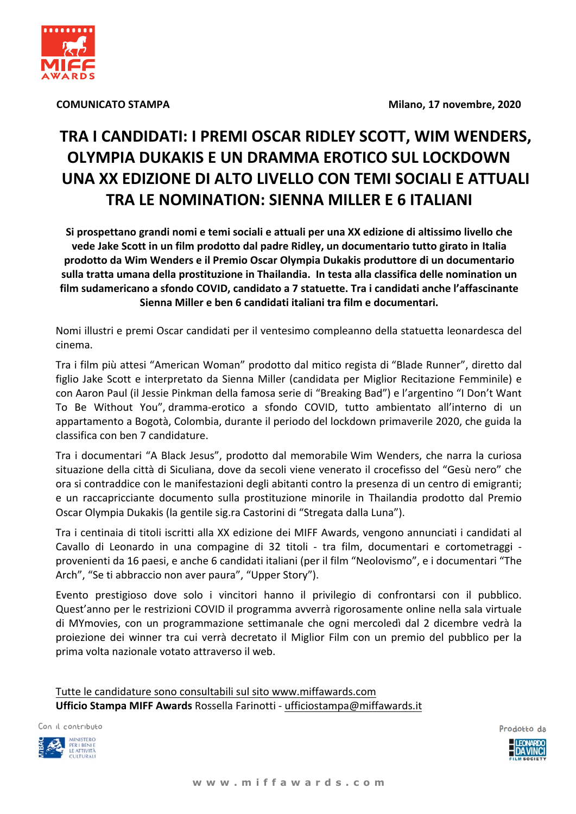



**COMUNICATO STAMPA** 

# TRA I CANDIDATI: I PREMI OSCAR RIDLEY SCOTT, WIM WENDERS, OLYMPIA DUKAKIS E UN DRAMMA EROTICO SUL LOCKDOWN UNA XX EDIZIONE DI ALTO LIVELLO CON TEMI SOCIALI E ATTUALI TRA LE NOMINATION: SIENNA MILLER E 6 ITALIANI

Si prospettano grandi nomi e temi sociali e attuali per una XX edizione di altissimo livello che vede Jake Scott in un film prodotto dal padre Ridley, un documentario tutto girato in Italia prodotto da Wim Wenders e il Premio Oscar Olympia Dukakis produttore di un documentario sulla tratta umana della prostituzione in Thailandia. In testa alla classifica delle nomination un film sudamericano a sfondo COVID, candidato a 7 statuette. Tra i candidati anche l'affascinante Sienna Miller e ben 6 candidati italiani tra film e documentari.

Nomi illustri e premi Oscar candidati per il ventesimo compleanno della statuetta leonardesca del cinema.

Tra i film più attesi "American Woman" prodotto dal mitico regista di "Blade Runner", diretto dal figlio Jake Scott e interpretato da Sienna Miller (candidata per Miglior Recitazione Femminile) e con Aaron Paul (il Jessie Pinkman della famosa serie di "Breaking Bad") e l'argentino "I Don't Want To Be Without You", dramma-erotico a sfondo COVID, tutto ambientato all'interno di un appartamento a Bogotà, Colombia, durante il periodo del lockdown primaverile 2020, che guida la classifica con ben 7 candidature.

Tra i documentari "A Black Jesus", prodotto dal memorabile Wim Wenders, che narra la curiosa situazione della città di Siculiana, dove da secoli viene venerato il crocefisso del "Gesù nero" che ora si contraddice con le manifestazioni degli abitanti contro la presenza di un centro di emigranti; e un raccapricciante documento sulla prostituzione minorile in Thailandia prodotto dal Premio Oscar Olympia Dukakis (la gentile sig.ra Castorini di "Stregata dalla Luna").

Tra i centinaia di titoli iscritti alla XX edizione dei MIFF Awards, vengono annunciati i candidati al Cavallo di Leonardo in una compagine di 32 titoli - tra film, documentari e cortometraggi provenienti da 16 paesi, e anche 6 candidati italiani (per il film "Neolovismo", e i documentari "The Arch", "Se ti abbraccio non aver paura", "Upper Story").

Evento prestigioso dove solo i vincitori hanno il privilegio di confrontarsi con il pubblico. Quest'anno per le restrizioni COVID il programma avverrà rigorosamente online nella sala virtuale di MYmovies, con un programmazione settimanale che ogni mercoledì dal 2 dicembre vedrà la proiezione dei winner tra cui verrà decretato il Miglior Film con un premio del pubblico per la prima volta nazionale votato attraverso il web.

Tutte le candidature sono consultabili sul sito www.miffawards.com Ufficio Stampa MIFF Awards Rossella Farinotti - ufficiostampa@miffawards.it

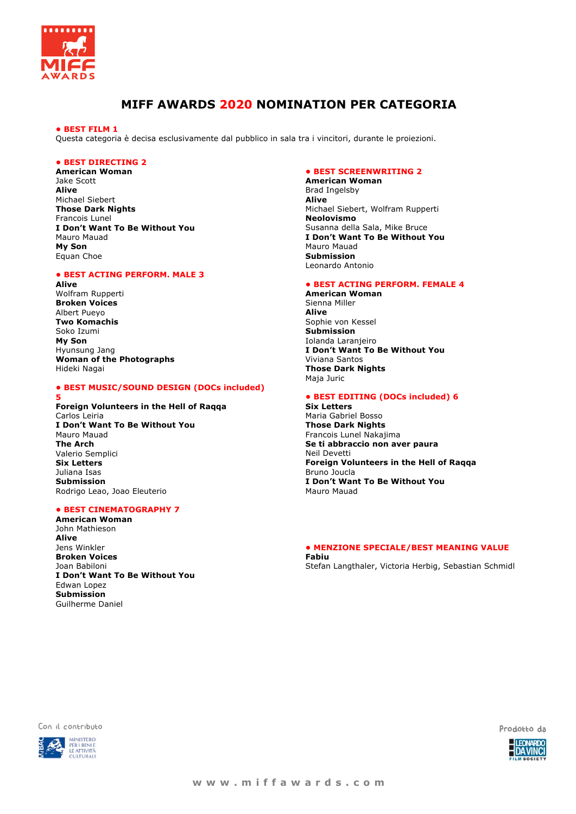

### **MIFF AWARDS 2020 NOMINATION PER CATEGORIA**

#### **• BEST FILM 1**

Questa categoria è decisa esclusivamente dal pubblico in sala tra i vincitori, durante le proiezioni.

#### **• BEST DIRECTING 2**

**American Woman**  Jake Scott **Alive**  Michael Siebert **Those Dark Nights**  Francois Lunel **I Don't Want To Be Without You**  Mauro Mauad **My Son**  Equan Choe

#### **• BEST ACTING PERFORM. MALE 3**

**Alive**  Wolfram Rupperti **Broken Voices**  Albert Pueyo **Two Komachis**  Soko Izumi **My Son**  Hyunsung Jang **Woman of the Photographs**  Hideki Nagai

#### **• BEST MUSIC/SOUND DESIGN (DOCs included)**

## **5**

**Foreign Volunteers in the Hell of Raqqa** Carlos Leiria **I Don't Want To Be Without You** Mauro Mauad **The Arch** Valerio Semplici **Six Letters**  Juliana Isas **Submission**  Rodrigo Leao, Joao Eleuterio

#### **• BEST CINEMATOGRAPHY 7**

**American Woman**  John Mathieson **Alive**  Jens Winkler **Broken Voices**  Joan Babiloni **I Don't Want To Be Without You**  Edwan Lopez **Submission**  Guilherme Daniel

#### **• BEST SCREENWRITING 2**

**American Woman**  Brad Ingelsby **Alive**  Michael Siebert, Wolfram Rupperti **Neolovismo**  Susanna della Sala, Mike Bruce **I Don't Want To Be Without You**  Mauro Mauad **Submission**  Leonardo Antonio

#### **• BEST ACTING PERFORM. FEMALE 4**

**American Woman**  Sienna Miller **Alive**  Sophie von Kessel **Submission**  Iolanda Laranjeiro **I Don't Want To Be Without You**  Viviana Santos **Those Dark Nights**  Maja Juric

#### **• BEST EDITING (DOCs included) 6**

**Six Letters**  Maria Gabriel Bosso **Those Dark Nights**  Francois Lunel Nakajima **Se ti abbraccio non aver paura** Neil Devetti **Foreign Volunteers in the Hell of Raqqa** Bruno Joucla **I Don't Want To Be Without You**  Mauro Mauad

#### **• MENZIONE SPECIALE/BEST MEANING VALUE Fabiu**

Stefan Langthaler, Victoria Herbig, Sebastian Schmidl